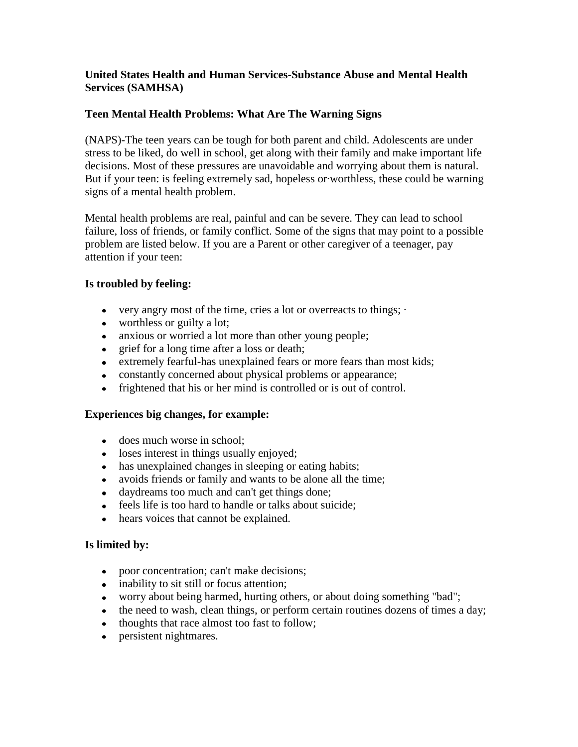# **United States Health and Human Services-Substance Abuse and Mental Health Services (SAMHSA)**

# **Teen Mental Health Problems: What Are The Warning Signs**

(NAPS)-The teen years can be tough for both parent and child. Adolescents are under stress to be liked, do well in school, get along with their family and make important life decisions. Most of these pressures are unavoidable and worrying about them is natural. But if your teen: is feeling extremely sad, hopeless or·worthless, these could be warning signs of a mental health problem.

Mental health problems are real, painful and can be severe. They can lead to school failure, loss of friends, or family conflict. Some of the signs that may point to a possible problem are listed below. If you are a Parent or other caregiver of a teenager, pay attention if your teen:

### **Is troubled by feeling:**

- very angry most of the time, cries a lot or overreacts to things;  $\cdot$
- worthless or guilty a lot;
- anxious or worried a lot more than other young people;
- grief for a long time after a loss or death;
- extremely fearful-has unexplained fears or more fears than most kids;
- constantly concerned about physical problems or appearance;
- frightened that his or her mind is controlled or is out of control.

### **Experiences big changes, for example:**

- does much worse in school:
- loses interest in things usually enjoyed:
- has unexplained changes in sleeping or eating habits;
- avoids friends or family and wants to be alone all the time;
- daydreams too much and can't get things done;
- feels life is too hard to handle or talks about suicide;
- hears voices that cannot be explained.

### **Is limited by:**

- poor concentration; can't make decisions;
- inability to sit still or focus attention;
- worry about being harmed, hurting others, or about doing something "bad";
- the need to wash, clean things, or perform certain routines dozens of times a day;
- thoughts that race almost too fast to follow;
- persistent nightmares.